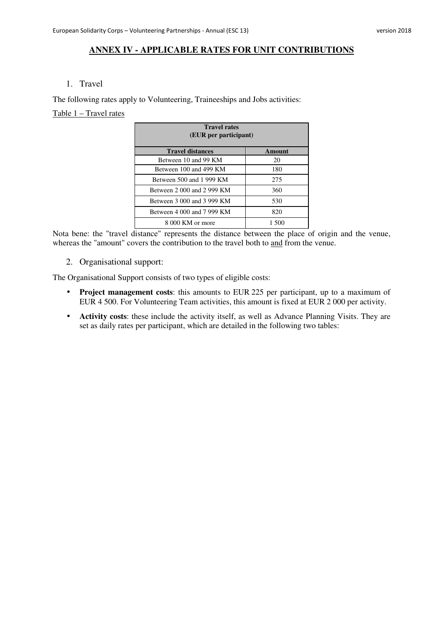#### **ANNEX IV - APPLICABLE RATES FOR UNIT CONTRIBUTIONS**

#### 1. Travel

The following rates apply to Volunteering, Traineeships and Jobs activities:

### Table 1 – Travel rates

| <b>Travel rates</b><br>(EUR per participant) |        |  |
|----------------------------------------------|--------|--|
| <b>Travel distances</b>                      | Amount |  |
| Between 10 and 99 KM                         | 20     |  |
| Between 100 and 499 KM                       | 180    |  |
| Between 500 and 1999 KM                      | 275    |  |
| Between 2 000 and 2 999 KM                   | 360    |  |
| Between 3 000 and 3 999 KM                   | 530    |  |
| Between 4 000 and 7 999 KM                   | 820    |  |
| 8 000 KM or more                             | 1.500  |  |

Nota bene: the "travel distance" represents the distance between the place of origin and the venue, whereas the "amount" covers the contribution to the travel both to and from the venue.

2. Organisational support:

The Organisational Support consists of two types of eligible costs:

- **Project management costs**: this amounts to EUR 225 per participant, up to a maximum of EUR 4 500. For Volunteering Team activities, this amount is fixed at EUR 2 000 per activity.
- **Activity costs**: these include the activity itself, as well as Advance Planning Visits. They are set as daily rates per participant, which are detailed in the following two tables: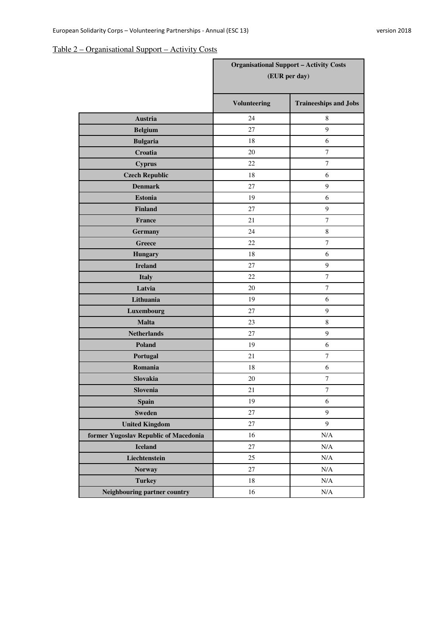# Table 2 – Organisational Support – Activity Costs

|                                       | <b>Organisational Support - Activity Costs</b><br>(EUR per day) |                              |
|---------------------------------------|-----------------------------------------------------------------|------------------------------|
|                                       | <b>Volunteering</b>                                             | <b>Traineeships and Jobs</b> |
| Austria                               | 24                                                              | 8                            |
| <b>Belgium</b>                        | 27                                                              | 9                            |
| <b>Bulgaria</b>                       | 18                                                              | 6                            |
| Croatia                               | 20                                                              | $\tau$                       |
| <b>Cyprus</b>                         | 22                                                              | $\tau$                       |
| <b>Czech Republic</b>                 | 18                                                              | 6                            |
| <b>Denmark</b>                        | 27                                                              | 9                            |
| <b>Estonia</b>                        | 19                                                              | 6                            |
| <b>Finland</b>                        | 27                                                              | $\boldsymbol{9}$             |
| France                                | 21                                                              | $\tau$                       |
| <b>Germany</b>                        | 24                                                              | $\,8\,$                      |
| <b>Greece</b>                         | 22                                                              | $\overline{7}$               |
| <b>Hungary</b>                        | 18                                                              | 6                            |
| <b>Ireland</b>                        | 27                                                              | $\boldsymbol{9}$             |
| <b>Italy</b>                          | 22                                                              | $\overline{7}$               |
| Latvia                                | 20                                                              | $\overline{7}$               |
| Lithuania                             | 19                                                              | 6                            |
| Luxembourg                            | 27                                                              | $\boldsymbol{9}$             |
| <b>Malta</b>                          | 23                                                              | $\,8\,$                      |
| <b>Netherlands</b>                    | 27                                                              | $\boldsymbol{9}$             |
| Poland                                | 19                                                              | 6                            |
| Portugal                              | 21                                                              | 7                            |
| Romania                               | 18                                                              | 6                            |
| Slovakia                              | 20                                                              | $\tau$                       |
| Slovenia                              | 21                                                              | $\tau$                       |
| <b>Spain</b>                          | 19                                                              | $\sqrt{6}$                   |
| <b>Sweden</b>                         | 27                                                              | 9                            |
| <b>United Kingdom</b>                 | $27\,$                                                          | 9                            |
| former Yugoslav Republic of Macedonia | 16                                                              | $\rm N/A$                    |
| <b>Iceland</b>                        | 27                                                              | $\rm N/A$                    |
| Liechtenstein                         | 25                                                              | N/A                          |
| <b>Norway</b>                         | 27                                                              | $\rm N/A$                    |
| <b>Turkey</b>                         | $18\,$                                                          | $\rm N/A$                    |
| Neighbouring partner country          | 16                                                              | $\rm N/A$                    |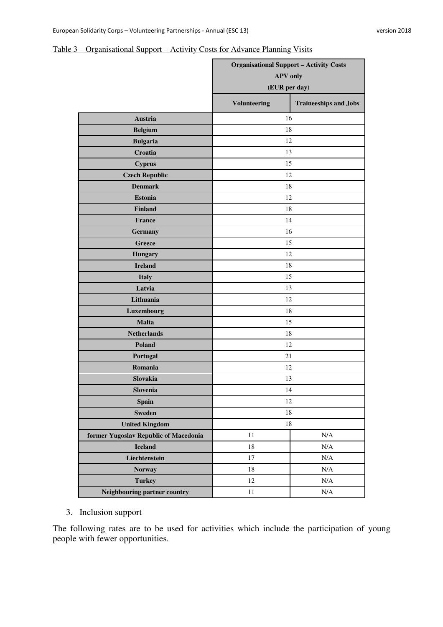### Table 3 – Organisational Support – Activity Costs for Advance Planning Visits

|                                       | <b>Organisational Support - Activity Costs</b><br><b>APV</b> only<br>(EUR per day) |                              |  |
|---------------------------------------|------------------------------------------------------------------------------------|------------------------------|--|
|                                       | <b>Volunteering</b>                                                                | <b>Traineeships and Jobs</b> |  |
| Austria                               | 16                                                                                 |                              |  |
| <b>Belgium</b>                        | 18                                                                                 |                              |  |
| <b>Bulgaria</b>                       | 12                                                                                 |                              |  |
| Croatia                               | 13                                                                                 |                              |  |
| <b>Cyprus</b>                         | 15                                                                                 |                              |  |
| <b>Czech Republic</b>                 | 12                                                                                 |                              |  |
| <b>Denmark</b>                        | 18                                                                                 |                              |  |
| <b>Estonia</b>                        | 12                                                                                 |                              |  |
| <b>Finland</b>                        | 18                                                                                 |                              |  |
| France                                | 14                                                                                 |                              |  |
| Germany                               | 16                                                                                 |                              |  |
| Greece                                | 15                                                                                 |                              |  |
| <b>Hungary</b>                        | 12                                                                                 |                              |  |
| <b>Ireland</b>                        | 18                                                                                 |                              |  |
| <b>Italy</b>                          | 15                                                                                 |                              |  |
| Latvia                                | 13                                                                                 |                              |  |
| Lithuania                             | 12                                                                                 |                              |  |
| Luxembourg                            | 18                                                                                 |                              |  |
| <b>Malta</b>                          | 15                                                                                 |                              |  |
| <b>Netherlands</b>                    | 18                                                                                 |                              |  |
| Poland                                | 12                                                                                 |                              |  |
| Portugal                              | 21                                                                                 |                              |  |
| Romania                               | 12                                                                                 |                              |  |
| Slovakia                              | 13                                                                                 |                              |  |
| Slovenia                              | 14                                                                                 |                              |  |
| <b>Spain</b>                          | 12                                                                                 |                              |  |
| <b>Sweden</b>                         | 18                                                                                 |                              |  |
| <b>United Kingdom</b>                 | 18                                                                                 |                              |  |
| former Yugoslav Republic of Macedonia | 11                                                                                 | N/A                          |  |
| <b>Iceland</b>                        | 18                                                                                 | N/A                          |  |
| Liechtenstein                         | $17\,$                                                                             | N/A                          |  |
| <b>Norway</b>                         | 18                                                                                 | $\rm N/A$                    |  |
| <b>Turkey</b>                         | 12                                                                                 | $\rm N/A$                    |  |
| Neighbouring partner country          | $11\,$                                                                             | $\rm N/A$                    |  |

### 3. Inclusion support

The following rates are to be used for activities which include the participation of young people with fewer opportunities.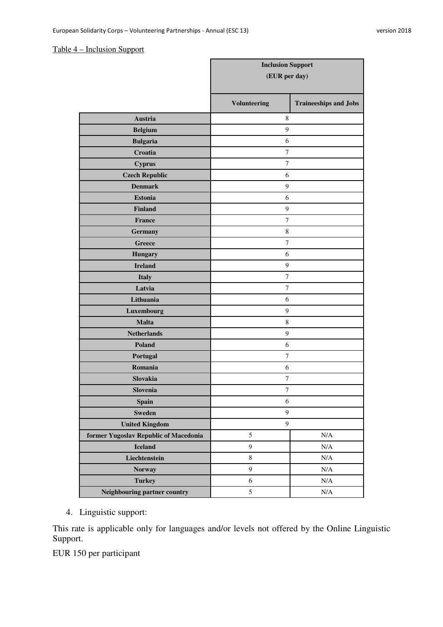#### Table 4 – Inclusion Support

|                                       | <b>Inclusion Support</b> |                              |  |
|---------------------------------------|--------------------------|------------------------------|--|
|                                       | (EUR per day)            |                              |  |
|                                       | <b>Volunteering</b>      | <b>Traineeships and Jobs</b> |  |
| Austria                               | 8                        |                              |  |
| <b>Belgium</b>                        | 9                        |                              |  |
| <b>Bulgaria</b>                       | 6                        |                              |  |
| Croatia                               | $\overline{7}$           |                              |  |
| <b>Cyprus</b>                         | $\tau$                   |                              |  |
| <b>Czech Republic</b>                 | 6                        |                              |  |
| <b>Denmark</b>                        | $\overline{9}$           |                              |  |
| <b>Estonia</b>                        | 6                        |                              |  |
| <b>Finland</b>                        | 9                        |                              |  |
| France                                | $\tau$                   |                              |  |
| <b>Germany</b>                        | $\,$ 8 $\,$              |                              |  |
| Greece                                | $\tau$                   |                              |  |
| <b>Hungary</b>                        | 6                        |                              |  |
| <b>Ireland</b>                        | $\mathbf{9}$             |                              |  |
| <b>Italy</b>                          | 7                        |                              |  |
| Latvia                                | 7                        |                              |  |
| Lithuania                             | 6                        |                              |  |
| Luxembourg                            | $\boldsymbol{9}$         |                              |  |
| <b>Malta</b>                          | $\,$ 8 $\,$              |                              |  |
| <b>Netherlands</b>                    | 9                        |                              |  |
| Poland                                | 6                        |                              |  |
| Portugal                              | $\boldsymbol{7}$         |                              |  |
| Romania                               | 6                        |                              |  |
| Slovakia                              | 7                        |                              |  |
| Slovenia                              | $\tau$                   |                              |  |
| <b>Spain</b>                          | $\sqrt{6}$               |                              |  |
| <b>Sweden</b>                         | $\mathbf{9}$             |                              |  |
| <b>United Kingdom</b>                 | $\boldsymbol{9}$         |                              |  |
| former Yugoslav Republic of Macedonia | 5                        | N/A                          |  |
| <b>Iceland</b>                        | 9                        | N/A                          |  |
| Liechtenstein                         | $8\,$                    | $\rm N/A$                    |  |
| <b>Norway</b>                         | 9                        | N/A                          |  |
| <b>Turkey</b>                         | $\sqrt{6}$               | N/A                          |  |
| Neighbouring partner country          | 5                        | $\rm N/A$                    |  |

4. Linguistic support:

This rate is applicable only for languages and/or levels not offered by the Online Linguistic Support.

EUR 150 per participant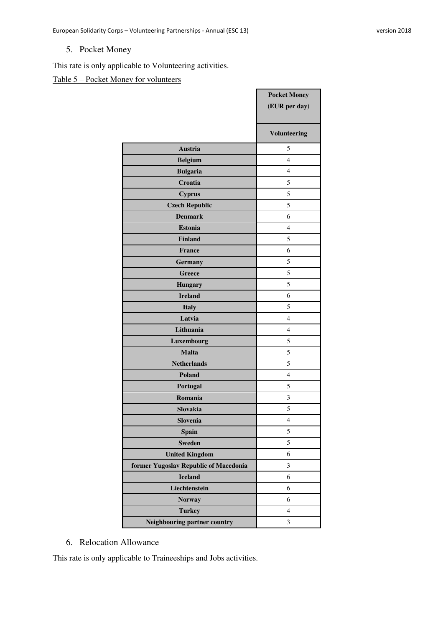# 5. Pocket Money

This rate is only applicable to Volunteering activities.

# Table 5 – Pocket Money for volunteers

|                                       | <b>Pocket Money</b><br>(EUR per day) |
|---------------------------------------|--------------------------------------|
|                                       | <b>Volunteering</b>                  |
| <b>Austria</b>                        | 5                                    |
| <b>Belgium</b>                        | $\overline{4}$                       |
| <b>Bulgaria</b>                       | $\overline{4}$                       |
| Croatia                               | 5                                    |
| <b>Cyprus</b>                         | 5                                    |
| <b>Czech Republic</b>                 | 5                                    |
| <b>Denmark</b>                        | 6                                    |
| <b>Estonia</b>                        | 4                                    |
| <b>Finland</b>                        | 5                                    |
| <b>France</b>                         | 6                                    |
| <b>Germany</b>                        | 5                                    |
| <b>Greece</b>                         | 5                                    |
| <b>Hungary</b>                        | 5                                    |
| <b>Ireland</b>                        | 6                                    |
| <b>Italy</b>                          | 5                                    |
| Latvia                                | $\overline{4}$                       |
| Lithuania                             | $\overline{4}$                       |
| Luxembourg                            | 5                                    |
| <b>Malta</b>                          | 5                                    |
| <b>Netherlands</b>                    | 5                                    |
| Poland                                | $\overline{4}$                       |
| Portugal                              | 5                                    |
| Romania                               | 3                                    |
| Slovakia                              | 5                                    |
| Slovenia                              | 4                                    |
| <b>Spain</b>                          | 5                                    |
| <b>Sweden</b>                         | 5                                    |
| <b>United Kingdom</b>                 | 6                                    |
| former Yugoslav Republic of Macedonia | $\mathfrak{Z}$                       |
| <b>Iceland</b>                        | 6                                    |
| Liechtenstein                         | 6                                    |
| <b>Norway</b>                         | 6                                    |
| <b>Turkey</b>                         | $\overline{4}$                       |
| Neighbouring partner country          | $\mathfrak{Z}$                       |

### 6. Relocation Allowance

This rate is only applicable to Traineeships and Jobs activities.